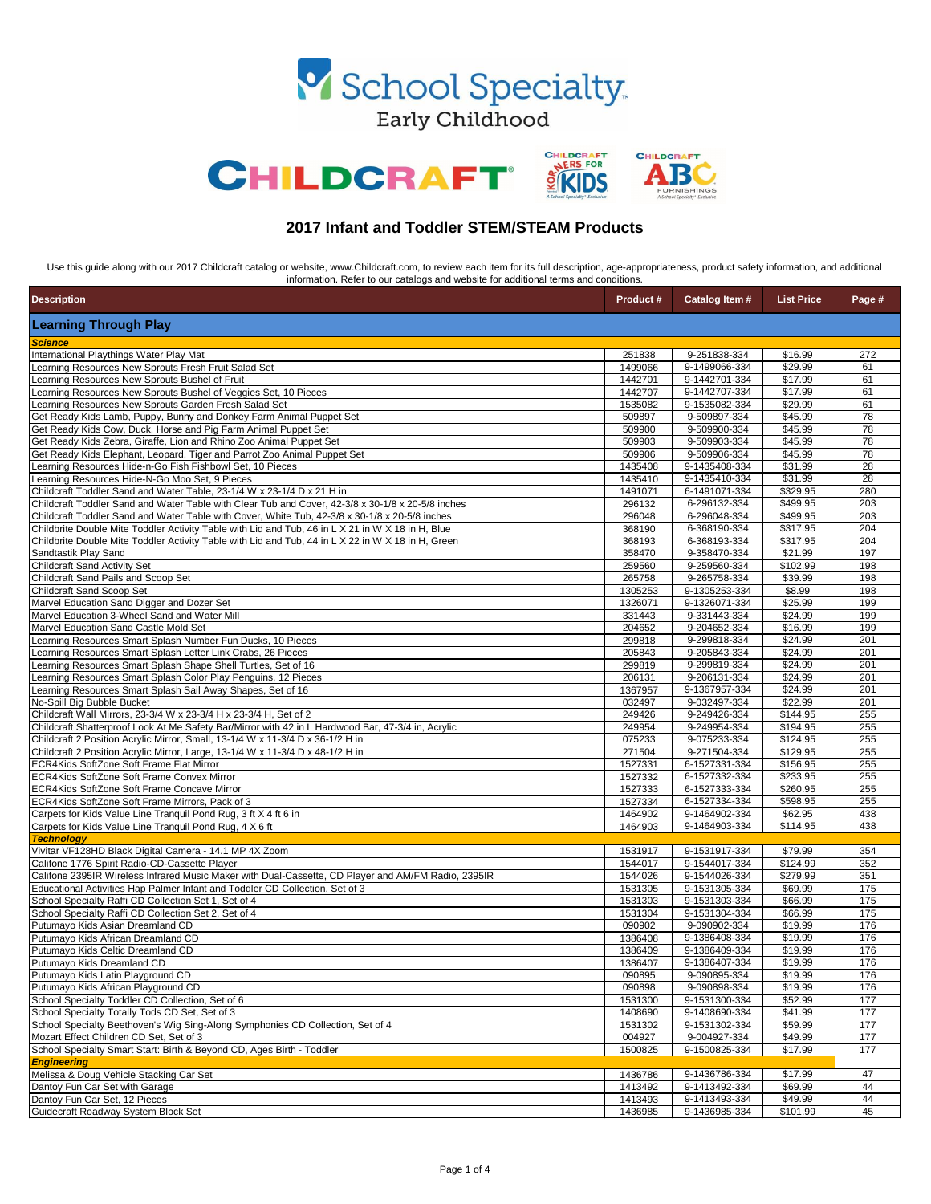| <b>Description</b>                                                                                                                                                      | <b>Product #</b>   | Catalog Item #                 | <b>List Price</b>    | Page #     |
|-------------------------------------------------------------------------------------------------------------------------------------------------------------------------|--------------------|--------------------------------|----------------------|------------|
| <b>Learning Through Play</b>                                                                                                                                            |                    |                                |                      |            |
| <i><b>Science</b></i>                                                                                                                                                   |                    |                                |                      |            |
| International Playthings Water Play Mat                                                                                                                                 | 251838             | 9-251838-334                   | \$16.99              | 272        |
| Learning Resources New Sprouts Fresh Fruit Salad Set                                                                                                                    | 1499066            | 9-1499066-334                  | \$29.99              | 61         |
| Learning Resources New Sprouts Bushel of Fruit                                                                                                                          | 1442701            | 9-1442701-334                  | \$17.99              | 61         |
| Learning Resources New Sprouts Bushel of Veggies Set, 10 Pieces                                                                                                         | 1442707            | 9-1442707-334                  | \$17.99              | 61         |
| Learning Resources New Sprouts Garden Fresh Salad Set                                                                                                                   | 1535082            | 9-1535082-334                  | \$29.99              | 61         |
| Get Ready Kids Lamb, Puppy, Bunny and Donkey Farm Animal Puppet Set                                                                                                     | 509897             | 9-509897-334                   | \$45.99              | 78         |
| Get Ready Kids Cow, Duck, Horse and Pig Farm Animal Puppet Set                                                                                                          | 509900             | 9-509900-334                   | \$45.99              | 78         |
| Get Ready Kids Zebra, Giraffe, Lion and Rhino Zoo Animal Puppet Set                                                                                                     | 509903             | 9-509903-334                   | \$45.99              | 78         |
| Get Ready Kids Elephant, Leopard, Tiger and Parrot Zoo Animal Puppet Set                                                                                                | 509906             | 9-509906-334                   | \$45.99              | 78         |
| Learning Resources Hide-n-Go Fish Fishbowl Set, 10 Pieces<br>Learning Resources Hide-N-Go Moo Set, 9 Pieces                                                             | 1435408<br>1435410 | 9-1435408-334<br>9-1435410-334 | \$31.99<br>\$31.99   | 28<br>28   |
| Childcraft Toddler Sand and Water Table, 23-1/4 W x 23-1/4 D x 21 H in                                                                                                  | 1491071            | 6-1491071-334                  | \$329.95             | 280        |
| Childcraft Toddler Sand and Water Table with Clear Tub and Cover, 42-3/8 x 30-1/8 x 20-5/8 inches                                                                       | 296132             | 6-296132-334                   | \$499.95             | 203        |
| Childcraft Toddler Sand and Water Table with Cover, White Tub, 42-3/8 x 30-1/8 x 20-5/8 inches                                                                          | 296048             | 6-296048-334                   | \$499.95             | 203        |
| Childbrite Double Mite Toddler Activity Table with Lid and Tub, 46 in L X 21 in W X 18 in H, Blue                                                                       | 368190             | 6-368190-334                   | $\overline{$}317.95$ | 204        |
| Childbrite Double Mite Toddler Activity Table with Lid and Tub, 44 in L X 22 in W X 18 in H, Green                                                                      | 368193             | 6-368193-334                   | \$317.95             | 204        |
| Sandtastik Play Sand                                                                                                                                                    | 358470             | 9-358470-334                   | \$21.99              | 197        |
| Childcraft Sand Activity Set                                                                                                                                            | 259560             | 9-259560-334                   | \$102.99             | 198        |
| Childcraft Sand Pails and Scoop Set                                                                                                                                     | 265758             | 9-265758-334                   | \$39.99              | 198        |
| Childcraft Sand Scoop Set                                                                                                                                               | 1305253            | 9-1305253-334                  | \$8.99               | 198        |
| Marvel Education Sand Digger and Dozer Set                                                                                                                              | 1326071            | 9-1326071-334                  | \$25.99              | 199        |
| Marvel Education 3-Wheel Sand and Water Mill                                                                                                                            | 331443             | 9-331443-334                   | \$24.99              | 199        |
| Marvel Education Sand Castle Mold Set                                                                                                                                   | 204652             | 9-204652-334                   | \$16.99              | 199        |
| Learning Resources Smart Splash Number Fun Ducks, 10 Pieces                                                                                                             | 299818             | 9-299818-334                   | \$24.99              | 201        |
| Learning Resources Smart Splash Letter Link Crabs, 26 Pieces                                                                                                            | 205843             | 9-205843-334                   | \$24.99              | 201        |
| Learning Resources Smart Splash Shape Shell Turtles, Set of 16                                                                                                          | 299819             | 9-299819-334                   | \$24.99              | 201        |
| Learning Resources Smart Splash Color Play Penguins, 12 Pieces                                                                                                          | 206131             | 9-206131-334                   | \$24.99              | 201        |
| Learning Resources Smart Splash Sail Away Shapes, Set of 16                                                                                                             | 1367957            | 9-1367957-334                  | \$24.99              | 201        |
| No-Spill Big Bubble Bucket                                                                                                                                              | 032497             | 9-032497-334                   | \$22.99              | 201        |
| Childcraft Wall Mirrors, 23-3/4 W x 23-3/4 H x 23-3/4 H, Set of 2<br>Childcraft Shatterproof Look At Me Safety Bar/Mirror with 42 in L Hardwood Bar, 47-3/4 in, Acrylic | 249426<br>249954   | 9-249426-334                   | \$144.95<br>\$194.95 | 255<br>255 |
| Childcraft 2 Position Acrylic Mirror, Small, 13-1/4 W x 11-3/4 D x 36-1/2 H in                                                                                          | 075233             | 9-249954-334<br>9-075233-334   | \$124.95             | 255        |
| Childcraft 2 Position Acrylic Mirror, Large, 13-1/4 W x 11-3/4 D x 48-1/2 H in                                                                                          | 271504             | 9-271504-334                   | \$129.95             | 255        |
| <b>ECR4Kids SoftZone Soft Frame Flat Mirror</b>                                                                                                                         | 1527331            | 6-1527331-334                  | \$156.95             | 255        |
| ECR4Kids SoftZone Soft Frame Convex Mirror                                                                                                                              | 1527332            | 6-1527332-334                  | \$233.95             | 255        |
| ECR4Kids SoftZone Soft Frame Concave Mirror                                                                                                                             | 1527333            | 6-1527333-334                  | \$260.95             | 255        |
| ECR4Kids SoftZone Soft Frame Mirrors, Pack of 3                                                                                                                         | 1527334            | 6-1527334-334                  | \$598.95             | 255        |
| Carpets for Kids Value Line Tranquil Pond Rug, 3 ft X 4 ft 6 in                                                                                                         | 1464902            | 9-1464902-334                  | \$62.95              | 438        |
| Carpets for Kids Value Line Tranquil Pond Rug, 4 X 6 ft                                                                                                                 | 1464903            | 9-1464903-334                  | \$114.95             | 438        |
| <b>Technology</b>                                                                                                                                                       |                    |                                |                      |            |
| Vivitar VF128HD Black Digital Camera - 14.1 MP 4X Zoom                                                                                                                  | 1531917            | 9-1531917-334                  | \$79.99              | 354        |
| Califone 1776 Spirit Radio-CD-Cassette Player                                                                                                                           | 1544017            | 9-1544017-334                  | \$124.99             | 352        |
| Califone 2395IR Wireless Infrared Music Maker with Dual-Cassette, CD Player and AM/FM Radio, 2395IR                                                                     | 1544026            | 9-1544026-334                  | \$279.99             | 351        |
| Educational Activities Hap Palmer Infant and Toddler CD Collection, Set of 3                                                                                            | 1531305            | 9-1531305-334                  | \$69.99              | 175        |
| School Specialty Raffi CD Collection Set 1, Set of 4                                                                                                                    | 1531303            | 9-1531303-334                  | \$66.99              | 175        |
| School Specialty Raffi CD Collection Set 2, Set of 4                                                                                                                    | 1531304            | 9-1531304-334                  | \$66.99              | 175        |
| Putumayo Kids Asian Dreamland CD                                                                                                                                        | 090902             | 9-090902-334                   | \$19.99              | 176        |
| Putumayo Kids African Dreamland CD                                                                                                                                      | 1386408            | 9-1386408-334                  | \$19.99              | 176        |
| Putumayo Kids Celtic Dreamland CD                                                                                                                                       | 1386409            | 9-1386409-334                  | \$19.99              | 176        |
| Putumayo Kids Dreamland CD                                                                                                                                              | 1386407            | 9-1386407-334                  | \$19.99              | 176        |
| Putumayo Kids Latin Playground CD                                                                                                                                       | 090895             | 9-090895-334                   | \$19.99              | 176<br>176 |
| Putumayo Kids African Playground CD<br>School Specialty Toddler CD Collection, Set of 6                                                                                 | 090898<br>1531300  | 9-090898-334<br>9-1531300-334  | \$19.99<br>\$52.99   | 177        |
| School Specialty Totally Tods CD Set, Set of 3                                                                                                                          | 1408690            | 9-1408690-334                  | \$41.99              | 177        |
| School Specialty Beethoven's Wig Sing-Along Symphonies CD Collection, Set of 4                                                                                          | 1531302            | 9-1531302-334                  | \$59.99              | 177        |
| Mozart Effect Children CD Set, Set of 3                                                                                                                                 | 004927             | 9-004927-334                   | \$49.99              | 177        |
| School Specialty Smart Start: Birth & Beyond CD, Ages Birth - Toddler                                                                                                   | 1500825            | 9-1500825-334                  | \$17.99              | 177        |
| <b>Engineering</b>                                                                                                                                                      |                    |                                |                      |            |
| Melissa & Doug Vehicle Stacking Car Set                                                                                                                                 | 1436786            | 9-1436786-334                  | \$17.99              | 47         |
| Dantoy Fun Car Set with Garage                                                                                                                                          | 1413492            | 9-1413492-334                  | \$69.99              | 44         |
| Dantoy Fun Car Set, 12 Pieces                                                                                                                                           | 1413493            | 9-1413493-334                  | \$49.99              | 44         |
| Guidecraft Roadway System Block Set                                                                                                                                     | 1436985            | 9-1436985-334                  | \$101.99             | 45         |

Use this guide along with our 2017 Childcraft catalog or website, www.Childcraft.com, to review each item for its full description, age-appropriateness, product safety information, and additional information. Refer to our catalogs and website for additional terms and conditions.







## **2017 Infant and Toddler STEM/STEAM Products**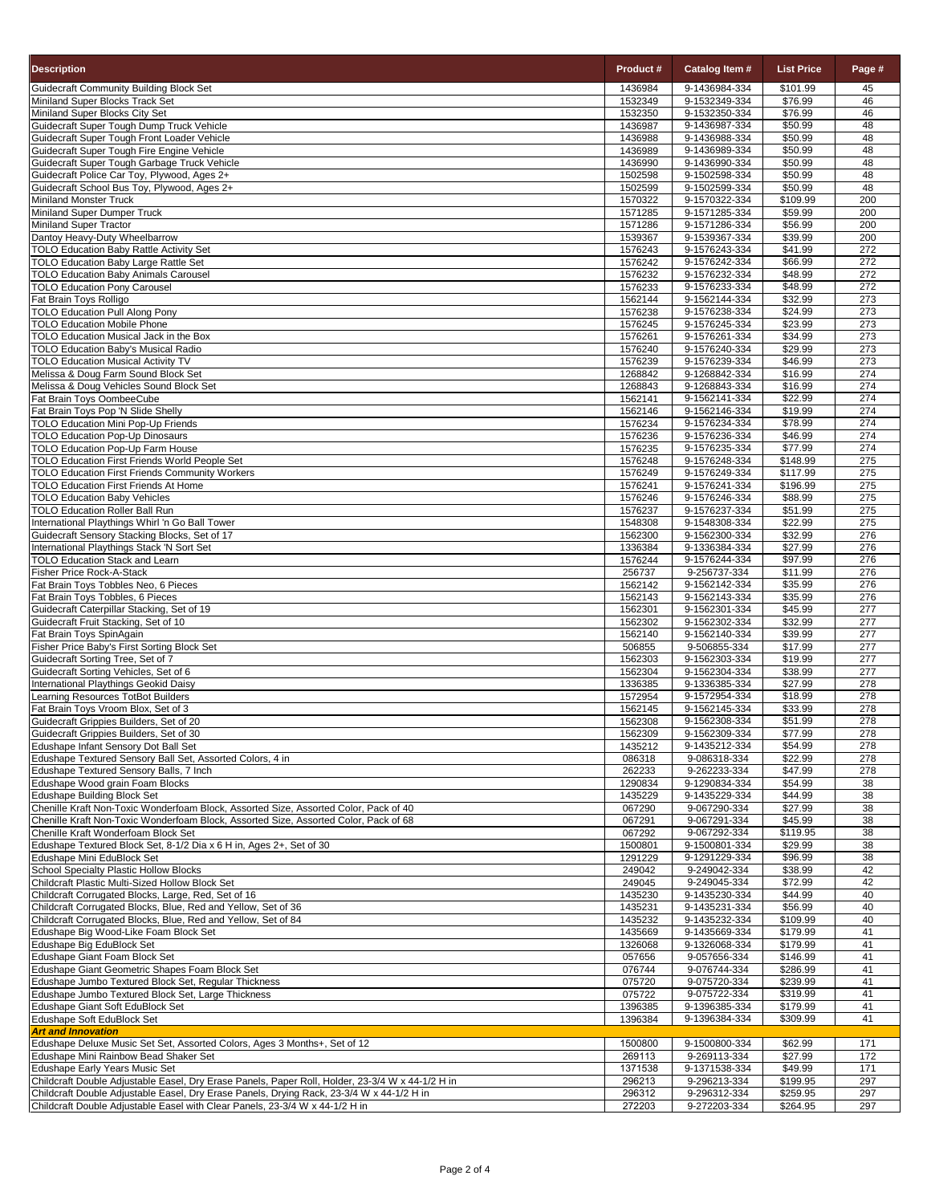|                                                                                                                                    |                    | Catalog Item #                 |                                  |                         |
|------------------------------------------------------------------------------------------------------------------------------------|--------------------|--------------------------------|----------------------------------|-------------------------|
| <b>Description</b>                                                                                                                 | Product #          |                                | <b>List Price</b>                | Page #                  |
| <b>Guidecraft Community Building Block Set</b>                                                                                     | 1436984            | 9-1436984-334                  | \$101.99                         | 45                      |
| Miniland Super Blocks Track Set<br>Miniland Super Blocks City Set                                                                  | 1532349<br>1532350 | 9-1532349-334<br>9-1532350-334 | \$76.99<br>\$76.99               | 46<br>46                |
| Guidecraft Super Tough Dump Truck Vehicle                                                                                          | 1436987            | 9-1436987-334                  | \$50.99                          | 48                      |
| Guidecraft Super Tough Front Loader Vehicle                                                                                        | 1436988            | 9-1436988-334                  | \$50.99                          | $\overline{48}$         |
| Guidecraft Super Tough Fire Engine Vehicle                                                                                         | 1436989            | 9-1436989-334                  | \$50.99                          | 48                      |
| Guidecraft Super Tough Garbage Truck Vehicle                                                                                       | 1436990            | 9-1436990-334                  | \$50.99                          | 48                      |
| Guidecraft Police Car Toy, Plywood, Ages 2+<br>Guidecraft School Bus Toy, Plywood, Ages 2+                                         | 1502598<br>1502599 | 9-1502598-334<br>9-1502599-334 | \$50.99<br>\$50.99               | 48<br>$\overline{48}$   |
| <b>Miniland Monster Truck</b>                                                                                                      | 1570322            | 9-1570322-334                  | \$109.99                         | 200                     |
| Miniland Super Dumper Truck                                                                                                        | 1571285            | 9-1571285-334                  | \$59.99                          | 200                     |
| Miniland Super Tractor                                                                                                             | 1571286            | 9-1571286-334                  | \$56.99                          | 200                     |
| Dantoy Heavy-Duty Wheelbarrow                                                                                                      | 1539367            | 9-1539367-334                  | \$39.99                          | $\overline{200}$<br>272 |
| <b>TOLO Education Baby Rattle Activity Set</b><br><b>TOLO Education Baby Large Rattle Set</b>                                      | 1576243<br>1576242 | 9-1576243-334<br>9-1576242-334 | \$41.99<br>\$66.99               | 272                     |
| <b>TOLO Education Baby Animals Carousel</b>                                                                                        | 1576232            | 9-1576232-334                  | \$48.99                          | 272                     |
| <b>TOLO Education Pony Carousel</b>                                                                                                | 1576233            | 9-1576233-334                  | \$48.99                          | 272                     |
| Fat Brain Toys Rolligo                                                                                                             | 1562144            | 9-1562144-334                  | \$32.99                          | $\overline{273}$        |
| <b>TOLO Education Pull Along Pony</b><br><b>TOLO Education Mobile Phone</b>                                                        | 1576238            | 9-1576238-334                  | \$24.99                          | $\overline{273}$        |
| <b>TOLO Education Musical Jack in the Box</b>                                                                                      | 1576245<br>1576261 | 9-1576245-334<br>9-1576261-334 | \$23.99<br>\$34.99               | 273<br>273              |
| <b>TOLO Education Baby's Musical Radio</b>                                                                                         | 1576240            | 9-1576240-334                  | \$29.99                          | 273                     |
| <b>TOLO Education Musical Activity TV</b>                                                                                          | 1576239            | 9-1576239-334                  | \$46.99                          | 273                     |
| Melissa & Doug Farm Sound Block Set                                                                                                | 1268842            | 9-1268842-334                  | \$16.99                          | 274                     |
| Melissa & Doug Vehicles Sound Block Set                                                                                            | 1268843            | 9-1268843-334                  | \$16.99                          | 274<br>274              |
| Fat Brain Toys OombeeCube<br>Fat Brain Toys Pop 'N Slide Shelly                                                                    | 1562141<br>1562146 | 9-1562141-334<br>9-1562146-334 | \$22.99<br>\$19.99               | $\overline{274}$        |
| <b>TOLO Education Mini Pop-Up Friends</b>                                                                                          | 1576234            | 9-1576234-334                  | \$78.99                          | $\overline{274}$        |
| <b>TOLO Education Pop-Up Dinosaurs</b>                                                                                             | 1576236            | 9-1576236-334                  | \$46.99                          | $\overline{274}$        |
| <b>TOLO Education Pop-Up Farm House</b>                                                                                            | 1576235            | 9-1576235-334                  | \$77.99                          | 274                     |
| <b>TOLO Education First Friends World People Set</b>                                                                               | 1576248            | 9-1576248-334                  | \$148.99                         | $\overline{275}$        |
| <b>TOLO Education First Friends Community Workers</b><br><b>TOLO Education First Friends At Home</b>                               | 1576249<br>1576241 | 9-1576249-334<br>9-1576241-334 | $\overline{$}117.99$<br>\$196.99 | 275<br>275              |
| <b>TOLO Education Baby Vehicles</b>                                                                                                | 1576246            | 9-1576246-334                  | \$88.99                          | 275                     |
| <b>TOLO Education Roller Ball Run</b>                                                                                              | 1576237            | 9-1576237-334                  | \$51.99                          | 275                     |
| International Playthings Whirl 'n Go Ball Tower                                                                                    | 1548308            | 9-1548308-334                  | \$22.99                          | 275                     |
| Guidecraft Sensory Stacking Blocks, Set of 17                                                                                      | 1562300            | 9-1562300-334                  | \$32.99                          | 276                     |
| International Playthings Stack 'N Sort Set<br><b>TOLO Education Stack and Learn</b>                                                | 1336384<br>1576244 | 9-1336384-334<br>9-1576244-334 | \$27.99<br>\$97.99               | 276<br>276              |
| <b>Fisher Price Rock-A-Stack</b>                                                                                                   | 256737             | 9-256737-334                   | \$11.99                          | $\overline{276}$        |
| Fat Brain Toys Tobbles Neo, 6 Pieces                                                                                               | 1562142            | 9-1562142-334                  | \$35.99                          | 276                     |
| Fat Brain Toys Tobbles, 6 Pieces                                                                                                   | 1562143            | 9-1562143-334                  | \$35.99                          | $\overline{276}$        |
| Guidecraft Caterpillar Stacking, Set of 19                                                                                         | 1562301            | 9-1562301-334                  | \$45.99                          | 277                     |
| Guidecraft Fruit Stacking, Set of 10<br>Fat Brain Toys SpinAgain                                                                   | 1562302<br>1562140 | 9-1562302-334<br>9-1562140-334 | \$32.99<br>\$39.99               | 277<br>$\overline{277}$ |
| Fisher Price Baby's First Sorting Block Set                                                                                        | 506855             | 9-506855-334                   | \$17.99                          | 277                     |
| Guidecraft Sorting Tree, Set of 7                                                                                                  | 1562303            | 9-1562303-334                  | \$19.99                          | 277                     |
| Guidecraft Sorting Vehicles, Set of 6                                                                                              | 1562304            | 9-1562304-334                  | \$38.99                          | $\overline{277}$        |
| International Playthings Geokid Daisy                                                                                              | 1336385            | 9-1336385-334                  | \$27.99                          | 278                     |
| Learning Resources TotBot Builders<br>Fat Brain Toys Vroom Blox, Set of 3                                                          | 1572954<br>1562145 | 9-1572954-334<br>9-1562145-334 | \$18.99<br>\$33.99               | $\overline{278}$<br>278 |
| Guidecraft Grippies Builders, Set of 20                                                                                            | 1562308            | 9-1562308-334                  | \$51.99                          | 278                     |
| Guidecraft Grippies Builders, Set of 30                                                                                            | 1562309            | 9-1562309-334                  | \$77.99                          | 278                     |
| Edushape Infant Sensory Dot Ball Set                                                                                               | 1435212            | 9-1435212-334                  | \$54.99                          | 278                     |
| Edushape Textured Sensory Ball Set, Assorted Colors, 4 in                                                                          | 086318             | 9-086318-334                   | \$22.99                          | 278                     |
| Edushape Textured Sensory Balls, 7 Inch<br>Edushape Wood grain Foam Blocks                                                         | 262233<br>1290834  | 9-262233-334<br>9-1290834-334  | \$47.99<br>\$54.99               | 278<br>38               |
| <b>Edushape Building Block Set</b>                                                                                                 | 1435229            | 9-1435229-334                  | \$44.99                          | $\overline{38}$         |
| Chenille Kraft Non-Toxic Wonderfoam Block, Assorted Size, Assorted Color, Pack of 40                                               | 067290             | 9-067290-334                   | \$27.99                          | 38                      |
| Chenille Kraft Non-Toxic Wonderfoam Block, Assorted Size, Assorted Color, Pack of 68                                               | 067291             | 9-067291-334                   | \$45.99                          | 38                      |
| Chenille Kraft Wonderfoam Block Set                                                                                                | 067292             | 9-067292-334                   | \$119.95                         | $\overline{38}$         |
| Edushape Textured Block Set, 8-1/2 Dia x 6 H in, Ages 2+, Set of 30<br>Edushape Mini EduBlock Set                                  | 1500801<br>1291229 | 9-1500801-334<br>9-1291229-334 | \$29.99<br>\$96.99               | 38<br>38                |
| <b>School Specialty Plastic Hollow Blocks</b>                                                                                      | 249042             | 9-249042-334                   | \$38.99                          | 42                      |
| Childcraft Plastic Multi-Sized Hollow Block Set                                                                                    | 249045             | 9-249045-334                   | \$72.99                          | 42                      |
| Childcraft Corrugated Blocks, Large, Red, Set of 16                                                                                | 1435230            | 9-1435230-334                  | \$44.99                          | 40                      |
| Childcraft Corrugated Blocks, Blue, Red and Yellow, Set of 36                                                                      | 1435231            | 9-1435231-334                  | \$56.99                          | 40                      |
| Childcraft Corrugated Blocks, Blue, Red and Yellow, Set of 84<br>Edushape Big Wood-Like Foam Block Set                             | 1435232<br>1435669 | 9-1435232-334<br>9-1435669-334 | \$109.99<br>\$179.99             | 40<br>41                |
| Edushape Big EduBlock Set                                                                                                          | 1326068            | 9-1326068-334                  | \$179.99                         | 41                      |
| Edushape Giant Foam Block Set                                                                                                      | 057656             | 9-057656-334                   | \$146.99                         | 41                      |
| Edushape Giant Geometric Shapes Foam Block Set                                                                                     | 076744             | 9-076744-334                   | \$286.99                         | 41                      |
| Edushape Jumbo Textured Block Set, Regular Thickness                                                                               | 075720             | 9-075720-334                   | \$239.99                         | 41                      |
| Edushape Jumbo Textured Block Set, Large Thickness<br>Edushape Giant Soft EduBlock Set                                             | 075722<br>1396385  | 9-075722-334<br>9-1396385-334  | \$319.99<br>\$179.99             | 41<br>41                |
| Edushape Soft EduBlock Set                                                                                                         | 1396384            | 9-1396384-334                  | \$309.99                         | 41                      |
| <b>Art and Innovation</b>                                                                                                          |                    |                                |                                  |                         |
| Edushape Deluxe Music Set Set, Assorted Colors, Ages 3 Months+, Set of 12                                                          | 1500800            | 9-1500800-334                  | \$62.99                          | 171                     |
| Edushape Mini Rainbow Bead Shaker Set                                                                                              | 269113             | 9-269113-334                   | \$27.99                          | 172                     |
| Edushape Early Years Music Set<br>Childcraft Double Adjustable Easel, Dry Erase Panels, Paper Roll, Holder, 23-3/4 W x 44-1/2 H in | 1371538<br>296213  | 9-1371538-334<br>9-296213-334  | \$49.99<br>\$199.95              | 171<br>297              |
| Childcraft Double Adjustable Easel, Dry Erase Panels, Drying Rack, 23-3/4 W x 44-1/2 H in                                          | 296312             | 9-296312-334                   | \$259.95                         | 297                     |
| Childcraft Double Adjustable Easel with Clear Panels, 23-3/4 W x 44-1/2 H in                                                       | 272203             | 9-272203-334                   | \$264.95                         | 297                     |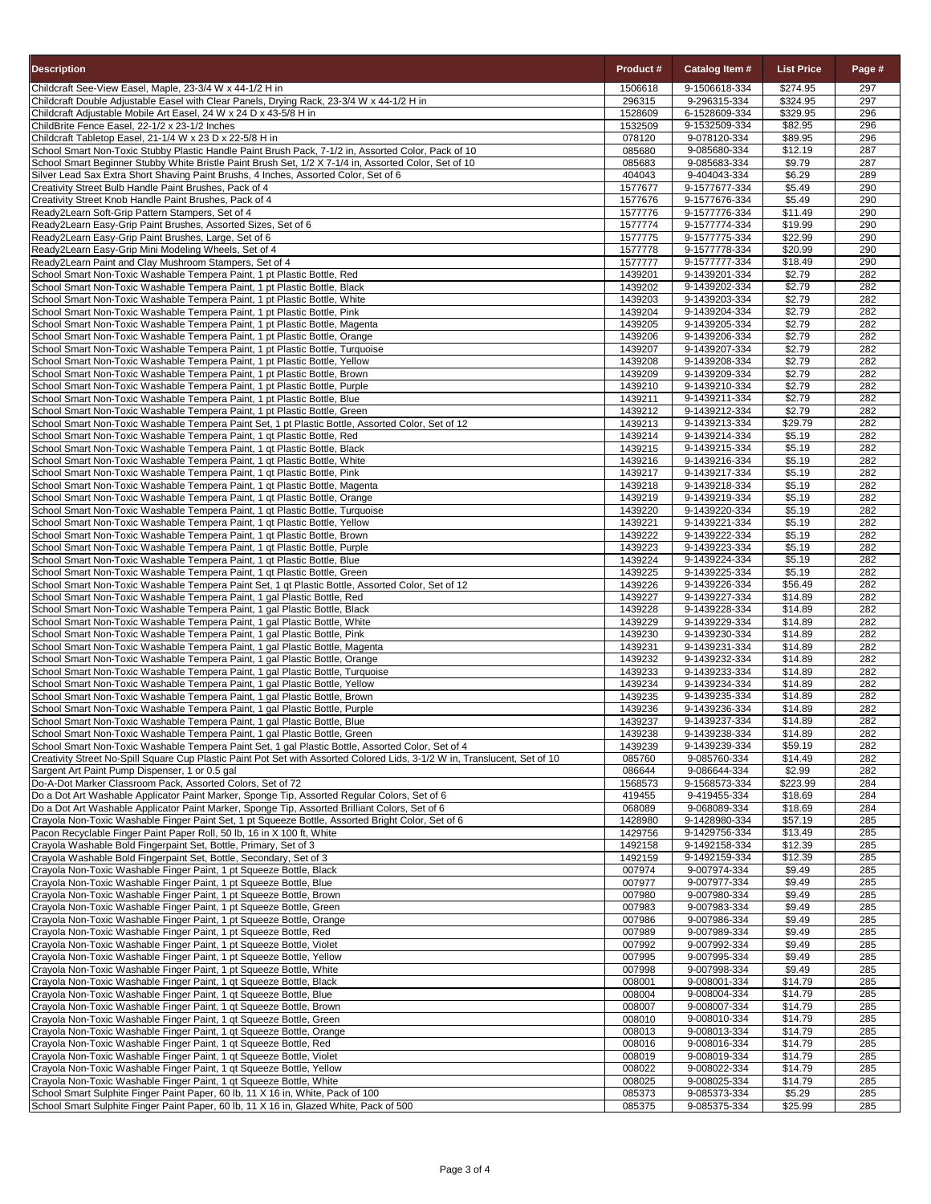| <b>Description</b>                                                                                                                                                                                                              | <b>Product #</b>   | Catalog Item #                 | <b>List Price</b>  | Page #     |
|---------------------------------------------------------------------------------------------------------------------------------------------------------------------------------------------------------------------------------|--------------------|--------------------------------|--------------------|------------|
| Childcraft See-View Easel, Maple, 23-3/4 W x 44-1/2 H in                                                                                                                                                                        | 1506618            | 9-1506618-334                  | \$274.95           | 297        |
| Childcraft Double Adjustable Easel with Clear Panels, Drying Rack, 23-3/4 W x 44-1/2 H in                                                                                                                                       | 296315             | 9-296315-334                   | \$324.95           | 297        |
| Childcraft Adjustable Mobile Art Easel, 24 W x 24 D x 43-5/8 H in                                                                                                                                                               | 1528609            | 6-1528609-334                  | \$329.95           | 296        |
| ChildBrite Fence Easel, 22-1/2 x 23-1/2 Inches                                                                                                                                                                                  | 1532509            | 9-1532509-334                  | \$82.95            | 296        |
| Childcraft Tabletop Easel, 21-1/4 W x 23 D x 22-5/8 H in                                                                                                                                                                        | 078120             | 9-078120-334                   | \$89.95            | 296        |
| School Smart Non-Toxic Stubby Plastic Handle Paint Brush Pack, 7-1/2 in, Assorted Color, Pack of 10                                                                                                                             | 085680             | 9-085680-334                   | \$12.19            | 287        |
| School Smart Beginner Stubby White Bristle Paint Brush Set, 1/2 X 7-1/4 in, Assorted Color, Set of 10                                                                                                                           | 085683             | 9-085683-334                   | \$9.79             | 287        |
| Silver Lead Sax Extra Short Shaving Paint Brushs, 4 Inches, Assorted Color, Set of 6                                                                                                                                            | 404043             | 9-404043-334                   | \$6.29             | 289        |
| Creativity Street Bulb Handle Paint Brushes, Pack of 4                                                                                                                                                                          | 1577677            | 9-1577677-334                  | \$5.49             | 290        |
| Creativity Street Knob Handle Paint Brushes, Pack of 4                                                                                                                                                                          | 1577676            | 9-1577676-334                  | \$5.49             | 290        |
| Ready2Learn Soft-Grip Pattern Stampers, Set of 4                                                                                                                                                                                | 1577776            | 9-1577776-334                  | \$11.49            | 290        |
| Ready2Learn Easy-Grip Paint Brushes, Assorted Sizes, Set of 6                                                                                                                                                                   | 1577774            | 9-1577774-334<br>9-1577775-334 | \$19.99<br>\$22.99 | 290<br>290 |
| Ready2Learn Easy-Grip Paint Brushes, Large, Set of 6<br>Ready2Learn Easy-Grip Mini Modeling Wheels, Set of 4                                                                                                                    | 1577775<br>1577778 | 9-1577778-334                  | \$20.99            | 290        |
| Ready2Learn Paint and Clay Mushroom Stampers, Set of 4                                                                                                                                                                          | 1577777            | 9-1577777-334                  | \$18.49            | 290        |
| School Smart Non-Toxic Washable Tempera Paint, 1 pt Plastic Bottle, Red                                                                                                                                                         | 1439201            | 9-1439201-334                  | \$2.79             | 282        |
| School Smart Non-Toxic Washable Tempera Paint, 1 pt Plastic Bottle, Black                                                                                                                                                       | 1439202            | 9-1439202-334                  | \$2.79             | 282        |
| School Smart Non-Toxic Washable Tempera Paint, 1 pt Plastic Bottle, White                                                                                                                                                       | 1439203            | 9-1439203-334                  | \$2.79             | 282        |
| School Smart Non-Toxic Washable Tempera Paint, 1 pt Plastic Bottle, Pink                                                                                                                                                        | 1439204            | 9-1439204-334                  | \$2.79             | 282        |
| School Smart Non-Toxic Washable Tempera Paint, 1 pt Plastic Bottle, Magenta                                                                                                                                                     | 1439205            | 9-1439205-334                  | \$2.79             | 282        |
| School Smart Non-Toxic Washable Tempera Paint, 1 pt Plastic Bottle, Orange                                                                                                                                                      | 1439206            | 9-1439206-334                  | \$2.79             | 282        |
| School Smart Non-Toxic Washable Tempera Paint, 1 pt Plastic Bottle, Turquoise                                                                                                                                                   | 1439207            | 9-1439207-334                  | \$2.79             | 282        |
| School Smart Non-Toxic Washable Tempera Paint, 1 pt Plastic Bottle, Yellow                                                                                                                                                      | 1439208            | 9-1439208-334                  | \$2.79             | 282        |
| School Smart Non-Toxic Washable Tempera Paint, 1 pt Plastic Bottle, Brown                                                                                                                                                       | 1439209            | 9-1439209-334                  | \$2.79             | 282        |
| School Smart Non-Toxic Washable Tempera Paint, 1 pt Plastic Bottle, Purple                                                                                                                                                      | 1439210            | 9-1439210-334                  | \$2.79             | 282        |
| School Smart Non-Toxic Washable Tempera Paint, 1 pt Plastic Bottle, Blue                                                                                                                                                        | 1439211            | 9-1439211-334                  | \$2.79             | 282        |
| School Smart Non-Toxic Washable Tempera Paint, 1 pt Plastic Bottle, Green                                                                                                                                                       | 1439212            | 9-1439212-334                  | \$2.79             | 282        |
| School Smart Non-Toxic Washable Tempera Paint Set, 1 pt Plastic Bottle, Assorted Color, Set of 12                                                                                                                               | 1439213            | 9-1439213-334                  | \$29.79            | 282        |
| School Smart Non-Toxic Washable Tempera Paint, 1 qt Plastic Bottle, Red                                                                                                                                                         | 1439214            | 9-1439214-334                  | \$5.19             | 282        |
| School Smart Non-Toxic Washable Tempera Paint, 1 qt Plastic Bottle, Black                                                                                                                                                       | 1439215            | 9-1439215-334                  | \$5.19             | 282        |
| School Smart Non-Toxic Washable Tempera Paint, 1 qt Plastic Bottle, White                                                                                                                                                       | 1439216            | 9-1439216-334                  | \$5.19             | 282        |
| School Smart Non-Toxic Washable Tempera Paint, 1 qt Plastic Bottle, Pink                                                                                                                                                        | 1439217            | 9-1439217-334                  | \$5.19             | 282        |
| School Smart Non-Toxic Washable Tempera Paint, 1 qt Plastic Bottle, Magenta                                                                                                                                                     | 1439218            | 9-1439218-334                  | \$5.19             | 282        |
| School Smart Non-Toxic Washable Tempera Paint, 1 qt Plastic Bottle, Orange                                                                                                                                                      | 1439219<br>1439220 | 9-1439219-334<br>9-1439220-334 | \$5.19             | 282<br>282 |
| School Smart Non-Toxic Washable Tempera Paint, 1 qt Plastic Bottle, Turquoise<br>School Smart Non-Toxic Washable Tempera Paint, 1 qt Plastic Bottle, Yellow                                                                     | 1439221            | 9-1439221-334                  | \$5.19<br>\$5.19   | 282        |
| School Smart Non-Toxic Washable Tempera Paint, 1 qt Plastic Bottle, Brown                                                                                                                                                       | 1439222            | 9-1439222-334                  | \$5.19             | 282        |
| School Smart Non-Toxic Washable Tempera Paint, 1 qt Plastic Bottle, Purple                                                                                                                                                      | 1439223            | 9-1439223-334                  | \$5.19             | 282        |
| School Smart Non-Toxic Washable Tempera Paint, 1 qt Plastic Bottle, Blue                                                                                                                                                        | 1439224            | 9-1439224-334                  | \$5.19             | 282        |
| School Smart Non-Toxic Washable Tempera Paint, 1 qt Plastic Bottle, Green                                                                                                                                                       | 1439225            | 9-1439225-334                  | \$5.19             | 282        |
| School Smart Non-Toxic Washable Tempera Paint Set, 1 gt Plastic Bottle, Assorted Color, Set of 12                                                                                                                               | 1439226            | 9-1439226-334                  | \$56.49            | 282        |
| School Smart Non-Toxic Washable Tempera Paint, 1 gal Plastic Bottle, Red                                                                                                                                                        | 1439227            | 9-1439227-334                  | \$14.89            | 282        |
| School Smart Non-Toxic Washable Tempera Paint, 1 gal Plastic Bottle, Black                                                                                                                                                      | 1439228            | 9-1439228-334                  | \$14.89            | 282        |
| School Smart Non-Toxic Washable Tempera Paint, 1 gal Plastic Bottle, White                                                                                                                                                      | 1439229            | 9-1439229-334                  | \$14.89            | 282        |
| School Smart Non-Toxic Washable Tempera Paint, 1 gal Plastic Bottle, Pink                                                                                                                                                       | 1439230            | 9-1439230-334                  | \$14.89            | 282        |
| School Smart Non-Toxic Washable Tempera Paint, 1 gal Plastic Bottle, Magenta                                                                                                                                                    | 1439231            | 9-1439231-334                  | \$14.89            | 282        |
| School Smart Non-Toxic Washable Tempera Paint, 1 gal Plastic Bottle, Orange                                                                                                                                                     | 1439232            | 9-1439232-334                  | \$14.89            | 282        |
| School Smart Non-Toxic Washable Tempera Paint, 1 gal Plastic Bottle, Turquoise                                                                                                                                                  | 1439233            | 9-1439233-334                  | \$14.89            | 282        |
| School Smart Non-Toxic Washable Tempera Paint, 1 gal Plastic Bottle, Yellow                                                                                                                                                     | 1439234            | 9-1439234-334                  | \$14.89            | 282        |
| School Smart Non-Toxic Washable Tempera Paint, 1 gal Plastic Bottle, Brown                                                                                                                                                      | 1439235            | 9-1439235-334                  | \$14.89            | 282        |
| School Smart Non-Toxic Washable Tempera Paint, 1 gal Plastic Bottle, Purple                                                                                                                                                     | 1439236            | 9-1439236-334                  | \$14.89            | 282        |
| School Smart Non-Toxic Washable Tempera Paint, 1 gal Plastic Bottle, Blue                                                                                                                                                       | 1439237            | 9-1439237-334                  | \$14.89            | 282        |
| School Smart Non-Toxic Washable Tempera Paint, 1 gal Plastic Bottle, Green                                                                                                                                                      | 1439238            | 9-1439238-334                  | \$14.89            | 282        |
| School Smart Non-Toxic Washable Tempera Paint Set, 1 gal Plastic Bottle, Assorted Color, Set of 4<br>Creativity Street No-Spill Square Cup Plastic Paint Pot Set with Assorted Colored Lids, 3-1/2 W in, Translucent, Set of 10 | 1439239<br>085760  | 9-1439239-334<br>9-085760-334  | \$59.19<br>\$14.49 | 282<br>282 |
| Sargent Art Paint Pump Dispenser, 1 or 0.5 gal                                                                                                                                                                                  | 086644             | 9-086644-334                   | \$2.99             | 282        |
| Do-A-Dot Marker Classroom Pack, Assorted Colors, Set of 72                                                                                                                                                                      | 1568573            | 9-1568573-334                  | \$223.99           | 284        |
| Do a Dot Art Washable Applicator Paint Marker, Sponge Tip, Assorted Regular Colors, Set of 6                                                                                                                                    | 419455             | 9-419455-334                   | \$18.69            | 284        |
| Do a Dot Art Washable Applicator Paint Marker, Sponge Tip, Assorted Brilliant Colors, Set of 6                                                                                                                                  | 068089             | 9-068089-334                   | \$18.69            | 284        |
| Crayola Non-Toxic Washable Finger Paint Set, 1 pt Squeeze Bottle, Assorted Bright Color, Set of 6                                                                                                                               | 1428980            | 9-1428980-334                  | \$57.19            | 285        |
| Pacon Recyclable Finger Paint Paper Roll, 50 lb, 16 in X 100 ft, White                                                                                                                                                          | 1429756            | 9-1429756-334                  | \$13.49            | 285        |
| Crayola Washable Bold Fingerpaint Set, Bottle, Primary, Set of 3                                                                                                                                                                | 1492158            | 9-1492158-334                  | \$12.39            | 285        |
| Crayola Washable Bold Fingerpaint Set, Bottle, Secondary, Set of 3                                                                                                                                                              | 1492159            | 9-1492159-334                  | \$12.39            | 285        |
| Crayola Non-Toxic Washable Finger Paint, 1 pt Squeeze Bottle, Black                                                                                                                                                             | 007974             | 9-007974-334                   | \$9.49             | 285        |
| Crayola Non-Toxic Washable Finger Paint, 1 pt Squeeze Bottle, Blue                                                                                                                                                              | 007977             | 9-007977-334                   | \$9.49             | 285        |
| Crayola Non-Toxic Washable Finger Paint, 1 pt Squeeze Bottle, Brown                                                                                                                                                             | 007980             | 9-007980-334                   | \$9.49             | 285        |
| Crayola Non-Toxic Washable Finger Paint, 1 pt Squeeze Bottle, Green                                                                                                                                                             | 007983             | 9-007983-334                   | \$9.49             | 285        |
| Crayola Non-Toxic Washable Finger Paint, 1 pt Squeeze Bottle, Orange                                                                                                                                                            | 007986             | 9-007986-334                   | \$9.49             | 285        |
| Crayola Non-Toxic Washable Finger Paint, 1 pt Squeeze Bottle, Red                                                                                                                                                               | 007989             | 9-007989-334                   | \$9.49             | 285        |
| Crayola Non-Toxic Washable Finger Paint, 1 pt Squeeze Bottle, Violet                                                                                                                                                            | 007992             | 9-007992-334                   | \$9.49             | 285        |
| Crayola Non-Toxic Washable Finger Paint, 1 pt Squeeze Bottle, Yellow                                                                                                                                                            | 007995             | 9-007995-334                   | \$9.49<br>\$9.49   | 285<br>285 |
| Crayola Non-Toxic Washable Finger Paint, 1 pt Squeeze Bottle, White<br>Crayola Non-Toxic Washable Finger Paint, 1 gt Squeeze Bottle, Black                                                                                      | 007998<br>008001   | 9-007998-334<br>9-008001-334   | \$14.79            | 285        |
| Crayola Non-Toxic Washable Finger Paint, 1 qt Squeeze Bottle, Blue                                                                                                                                                              | 008004             | 9-008004-334                   | \$14.79            | 285        |
| Crayola Non-Toxic Washable Finger Paint, 1 qt Squeeze Bottle, Brown                                                                                                                                                             | 008007             | 9-008007-334                   | \$14.79            | 285        |
| Crayola Non-Toxic Washable Finger Paint, 1 qt Squeeze Bottle, Green                                                                                                                                                             | 008010             | 9-008010-334                   | \$14.79            | 285        |
| Crayola Non-Toxic Washable Finger Paint, 1 qt Squeeze Bottle, Orange                                                                                                                                                            | 008013             | 9-008013-334                   | \$14.79            | 285        |
| Crayola Non-Toxic Washable Finger Paint, 1 qt Squeeze Bottle, Red                                                                                                                                                               | 008016             | 9-008016-334                   | \$14.79            | 285        |
| Crayola Non-Toxic Washable Finger Paint, 1 qt Squeeze Bottle, Violet                                                                                                                                                            | 008019             | 9-008019-334                   | \$14.79            | 285        |
| Crayola Non-Toxic Washable Finger Paint, 1 qt Squeeze Bottle, Yellow                                                                                                                                                            | 008022             | 9-008022-334                   | \$14.79            | 285        |
| Crayola Non-Toxic Washable Finger Paint, 1 qt Squeeze Bottle, White                                                                                                                                                             | 008025             | 9-008025-334                   | \$14.79            | 285        |
| School Smart Sulphite Finger Paint Paper, 60 lb, 11 X 16 in, White, Pack of 100                                                                                                                                                 | 085373             | 9-085373-334                   | \$5.29             | 285        |
| School Smart Sulphite Finger Paint Paper, 60 lb, 11 X 16 in, Glazed White, Pack of 500                                                                                                                                          | 085375             | 9-085375-334                   | \$25.99            | 285        |